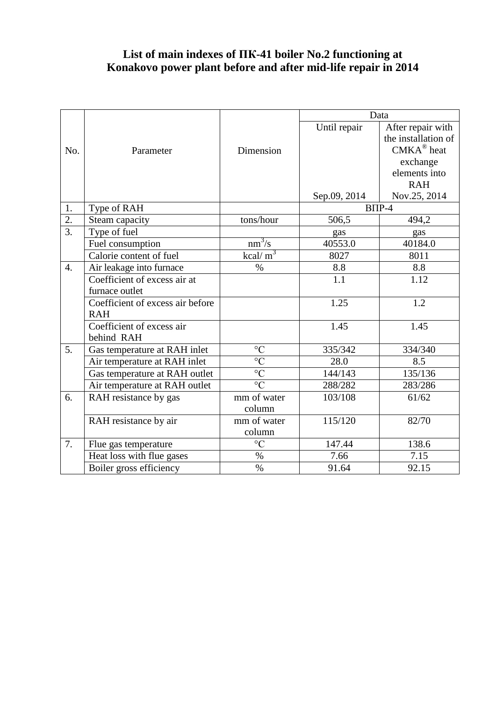## **List of main indexes of ПК-41 boiler No.2 functioning at Konakovo power plant before and after mid-life repair in 2014**

|                  |                                  |                 | Data         |                         |
|------------------|----------------------------------|-----------------|--------------|-------------------------|
|                  |                                  |                 | Until repair | After repair with       |
|                  |                                  |                 |              | the installation of     |
| No.              | Parameter                        | Dimension       |              | $CMKA^{\circledR}$ heat |
|                  |                                  |                 |              | exchange                |
|                  |                                  |                 |              | elements into           |
|                  |                                  |                 |              | <b>RAH</b>              |
|                  |                                  |                 | Sep.09, 2014 | Nov.25, 2014            |
| 1.               | Type of RAH                      |                 | $B\Pi P-4$   |                         |
| $\overline{2}$ . | Steam capacity                   | tons/hour       | 506,5        | 494,2                   |
| $\overline{3}$ . | Type of fuel                     |                 | gas          | gas                     |
|                  | Fuel consumption                 | $nm^3/s$        | 40553.0      | 40184.0                 |
|                  | Calorie content of fuel          | $kcal/m^3$      | 8027         | 8011                    |
| $\overline{4}$ . | Air leakage into furnace         | $\%$            | 8.8          | 8.8                     |
|                  | Coefficient of excess air at     |                 | 1.1          | 1.12                    |
|                  | furnace outlet                   |                 |              |                         |
|                  | Coefficient of excess air before |                 | 1.25         | 1.2                     |
|                  | <b>RAH</b>                       |                 |              |                         |
|                  | Coefficient of excess air        |                 | 1.45         | 1.45                    |
|                  | behind RAH                       |                 |              |                         |
| 5.               | Gas temperature at RAH inlet     | $\rm ^{\circ}C$ | 335/342      | 334/340                 |
|                  | Air temperature at RAH inlet     | $\overline{C}$  | 28.0         | 8.5                     |
|                  | Gas temperature at RAH outlet    | $\overline{C}$  | 144/143      | 135/136                 |
|                  | Air temperature at RAH outlet    | $\overline{C}$  | 288/282      | 283/286                 |
| 6.               | RAH resistance by gas            | mm of water     | 103/108      | 61/62                   |
|                  |                                  | column          |              |                         |
|                  | RAH resistance by air            | mm of water     | 115/120      | 82/70                   |
|                  |                                  | column          |              |                         |
| 7.               | Flue gas temperature             | $\rm ^{\circ}C$ | 147.44       | 138.6                   |
|                  | Heat loss with flue gases        | $\%$            | 7.66         | 7.15                    |
|                  | Boiler gross efficiency          | $\%$            | 91.64        | 92.15                   |